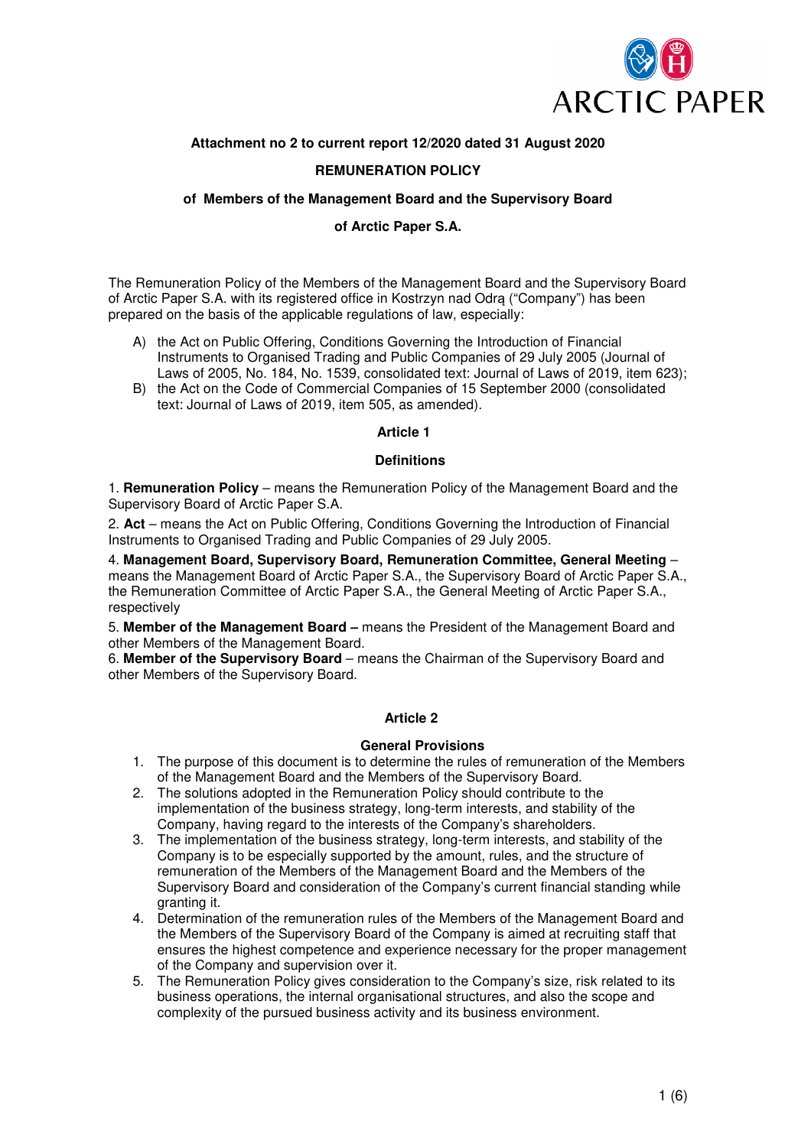

### **Attachment no 2 to current report 12/2020 dated 31 August 2020**

### **REMUNERATION POLICY**

### **of Members of the Management Board and the Supervisory Board**

### **of Arctic Paper S.A.**

The Remuneration Policy of the Members of the Management Board and the Supervisory Board of Arctic Paper S.A. with its registered office in Kostrzyn nad Odrą ("Company") has been prepared on the basis of the applicable regulations of law, especially:

- A) the Act on Public Offering, Conditions Governing the Introduction of Financial Instruments to Organised Trading and Public Companies of 29 July 2005 (Journal of Laws of 2005, No. 184, No. 1539, consolidated text: Journal of Laws of 2019, item 623);
- B) the Act on the Code of Commercial Companies of 15 September 2000 (consolidated text: Journal of Laws of 2019, item 505, as amended).

#### **Article 1**

## **Definitions**

1. **Remuneration Policy** – means the Remuneration Policy of the Management Board and the Supervisory Board of Arctic Paper S.A.

2. **Act** – means the Act on Public Offering, Conditions Governing the Introduction of Financial Instruments to Organised Trading and Public Companies of 29 July 2005.

4. **Management Board, Supervisory Board, Remuneration Committee, General Meeting** – means the Management Board of Arctic Paper S.A., the Supervisory Board of Arctic Paper S.A., the Remuneration Committee of Arctic Paper S.A., the General Meeting of Arctic Paper S.A., respectively

5. **Member of the Management Board –** means the President of the Management Board and other Members of the Management Board.

6. **Member of the Supervisory Board** – means the Chairman of the Supervisory Board and other Members of the Supervisory Board.

#### **Article 2**

#### **General Provisions**

- 1. The purpose of this document is to determine the rules of remuneration of the Members of the Management Board and the Members of the Supervisory Board.
- 2. The solutions adopted in the Remuneration Policy should contribute to the implementation of the business strategy, long-term interests, and stability of the Company, having regard to the interests of the Company's shareholders.
- 3. The implementation of the business strategy, long-term interests, and stability of the Company is to be especially supported by the amount, rules, and the structure of remuneration of the Members of the Management Board and the Members of the Supervisory Board and consideration of the Company's current financial standing while granting it.
- 4. Determination of the remuneration rules of the Members of the Management Board and the Members of the Supervisory Board of the Company is aimed at recruiting staff that ensures the highest competence and experience necessary for the proper management of the Company and supervision over it.
- 5. The Remuneration Policy gives consideration to the Company's size, risk related to its business operations, the internal organisational structures, and also the scope and complexity of the pursued business activity and its business environment.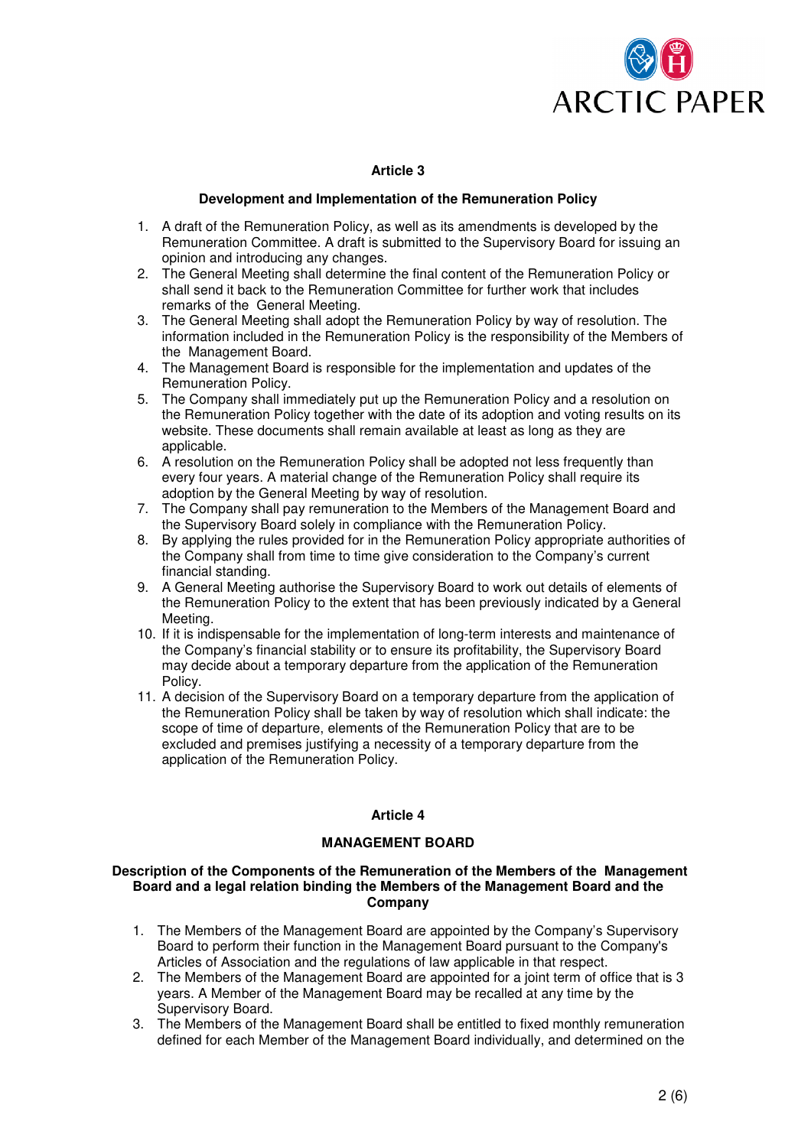

## **Article 3**

### **Development and Implementation of the Remuneration Policy**

- 1. A draft of the Remuneration Policy, as well as its amendments is developed by the Remuneration Committee. A draft is submitted to the Supervisory Board for issuing an opinion and introducing any changes.
- 2. The General Meeting shall determine the final content of the Remuneration Policy or shall send it back to the Remuneration Committee for further work that includes remarks of the General Meeting.
- 3. The General Meeting shall adopt the Remuneration Policy by way of resolution. The information included in the Remuneration Policy is the responsibility of the Members of the Management Board.
- 4. The Management Board is responsible for the implementation and updates of the Remuneration Policy.
- 5. The Company shall immediately put up the Remuneration Policy and a resolution on the Remuneration Policy together with the date of its adoption and voting results on its website. These documents shall remain available at least as long as they are applicable.
- 6. A resolution on the Remuneration Policy shall be adopted not less frequently than every four years. A material change of the Remuneration Policy shall require its adoption by the General Meeting by way of resolution.
- 7. The Company shall pay remuneration to the Members of the Management Board and the Supervisory Board solely in compliance with the Remuneration Policy.
- 8. By applying the rules provided for in the Remuneration Policy appropriate authorities of the Company shall from time to time give consideration to the Company's current financial standing.
- 9. A General Meeting authorise the Supervisory Board to work out details of elements of the Remuneration Policy to the extent that has been previously indicated by a General Meeting.
- 10. If it is indispensable for the implementation of long-term interests and maintenance of the Company's financial stability or to ensure its profitability, the Supervisory Board may decide about a temporary departure from the application of the Remuneration Policy.
- 11. A decision of the Supervisory Board on a temporary departure from the application of the Remuneration Policy shall be taken by way of resolution which shall indicate: the scope of time of departure, elements of the Remuneration Policy that are to be excluded and premises justifying a necessity of a temporary departure from the application of the Remuneration Policy.

## **Article 4**

## **MANAGEMENT BOARD**

### **Description of the Components of the Remuneration of the Members of the Management Board and a legal relation binding the Members of the Management Board and the Company**

- 1. The Members of the Management Board are appointed by the Company's Supervisory Board to perform their function in the Management Board pursuant to the Company's Articles of Association and the regulations of law applicable in that respect.
- 2. The Members of the Management Board are appointed for a joint term of office that is 3 years. A Member of the Management Board may be recalled at any time by the Supervisory Board.
- 3. The Members of the Management Board shall be entitled to fixed monthly remuneration defined for each Member of the Management Board individually, and determined on the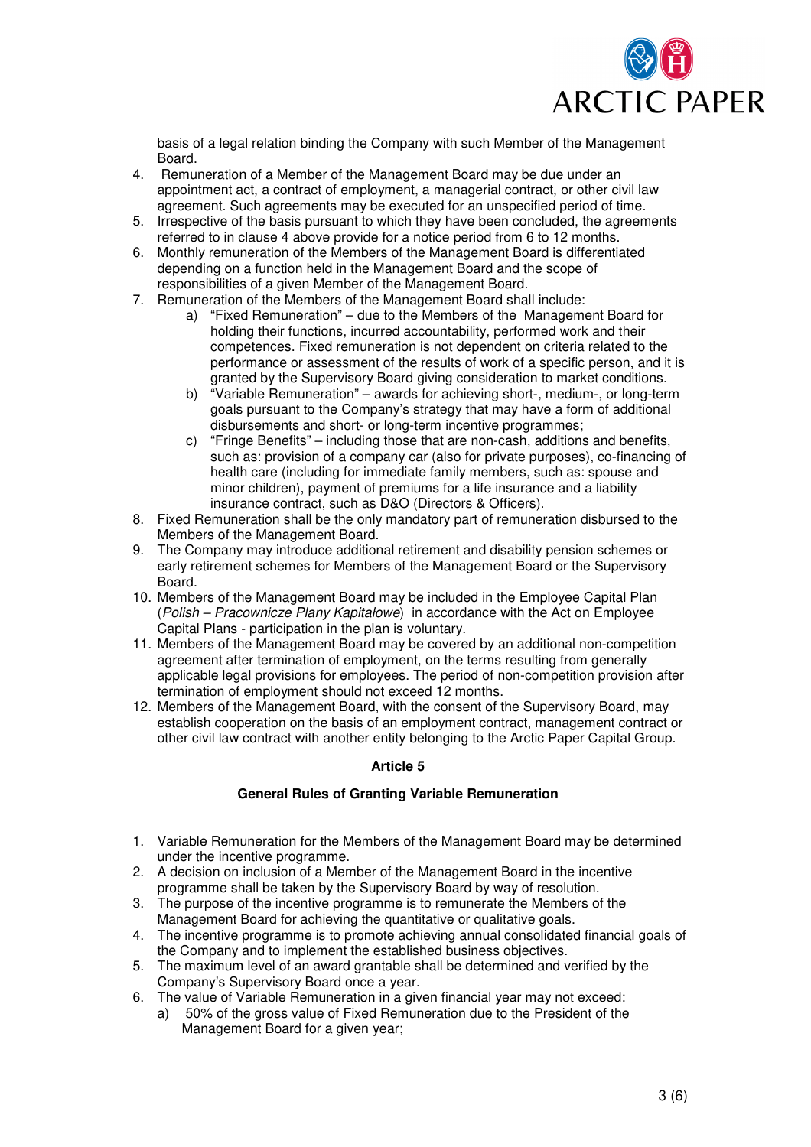

basis of a legal relation binding the Company with such Member of the Management Board.

- 4. Remuneration of a Member of the Management Board may be due under an appointment act, a contract of employment, a managerial contract, or other civil law agreement. Such agreements may be executed for an unspecified period of time.
- 5. Irrespective of the basis pursuant to which they have been concluded, the agreements referred to in clause 4 above provide for a notice period from 6 to 12 months.
- 6. Monthly remuneration of the Members of the Management Board is differentiated depending on a function held in the Management Board and the scope of responsibilities of a given Member of the Management Board.
- 7. Remuneration of the Members of the Management Board shall include:
	- a) "Fixed Remuneration" due to the Members of the Management Board for holding their functions, incurred accountability, performed work and their competences. Fixed remuneration is not dependent on criteria related to the performance or assessment of the results of work of a specific person, and it is granted by the Supervisory Board giving consideration to market conditions.
	- b) "Variable Remuneration" awards for achieving short-, medium-, or long-term goals pursuant to the Company's strategy that may have a form of additional disbursements and short- or long-term incentive programmes;
	- c) "Fringe Benefits" including those that are non-cash, additions and benefits, such as: provision of a company car (also for private purposes), co-financing of health care (including for immediate family members, such as: spouse and minor children), payment of premiums for a life insurance and a liability insurance contract, such as D&O (Directors & Officers).
- 8. Fixed Remuneration shall be the only mandatory part of remuneration disbursed to the Members of the Management Board.
- 9. The Company may introduce additional retirement and disability pension schemes or early retirement schemes for Members of the Management Board or the Supervisory Board.
- 10. Members of the Management Board may be included in the Employee Capital Plan (Polish – Pracownicze Plany Kapitałowe) in accordance with the Act on Employee Capital Plans - participation in the plan is voluntary.
- 11. Members of the Management Board may be covered by an additional non-competition agreement after termination of employment, on the terms resulting from generally applicable legal provisions for employees. The period of non-competition provision after termination of employment should not exceed 12 months.
- 12. Members of the Management Board, with the consent of the Supervisory Board, may establish cooperation on the basis of an employment contract, management contract or other civil law contract with another entity belonging to the Arctic Paper Capital Group.

## **Article 5**

# **General Rules of Granting Variable Remuneration**

- 1. Variable Remuneration for the Members of the Management Board may be determined under the incentive programme.
- 2. A decision on inclusion of a Member of the Management Board in the incentive programme shall be taken by the Supervisory Board by way of resolution.
- 3. The purpose of the incentive programme is to remunerate the Members of the Management Board for achieving the quantitative or qualitative goals.
- 4. The incentive programme is to promote achieving annual consolidated financial goals of the Company and to implement the established business objectives.
- 5. The maximum level of an award grantable shall be determined and verified by the Company's Supervisory Board once a year.
- 6. The value of Variable Remuneration in a given financial year may not exceed:
	- a) 50% of the gross value of Fixed Remuneration due to the President of the Management Board for a given year;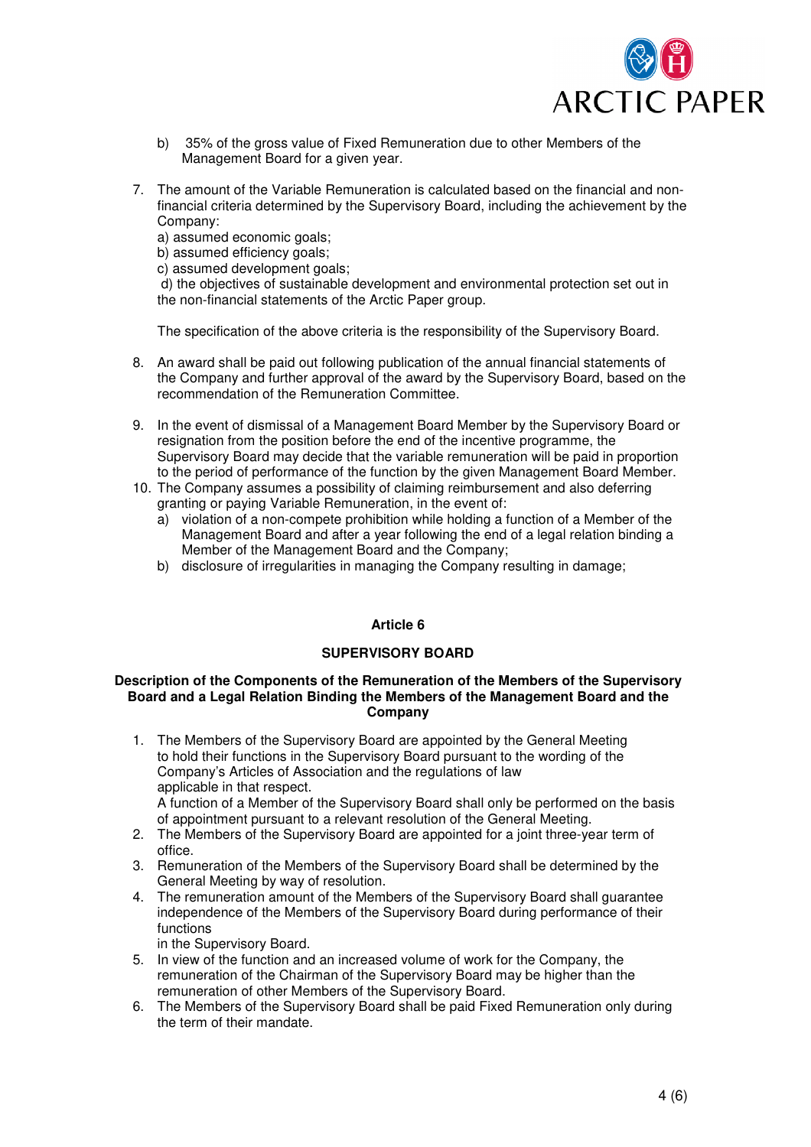

- b) 35% of the gross value of Fixed Remuneration due to other Members of the Management Board for a given year.
- 7. The amount of the Variable Remuneration is calculated based on the financial and nonfinancial criteria determined by the Supervisory Board, including the achievement by the Company:

a) assumed economic goals;

b) assumed efficiency goals;

c) assumed development goals;

 d) the objectives of sustainable development and environmental protection set out in the non-financial statements of the Arctic Paper group.

The specification of the above criteria is the responsibility of the Supervisory Board.

- 8. An award shall be paid out following publication of the annual financial statements of the Company and further approval of the award by the Supervisory Board, based on the recommendation of the Remuneration Committee.
- 9. In the event of dismissal of a Management Board Member by the Supervisory Board or resignation from the position before the end of the incentive programme, the Supervisory Board may decide that the variable remuneration will be paid in proportion to the period of performance of the function by the given Management Board Member.
- 10. The Company assumes a possibility of claiming reimbursement and also deferring granting or paying Variable Remuneration, in the event of:
	- a) violation of a non-compete prohibition while holding a function of a Member of the Management Board and after a year following the end of a legal relation binding a Member of the Management Board and the Company;
	- b) disclosure of irregularities in managing the Company resulting in damage;

## **Article 6**

## **SUPERVISORY BOARD**

### **Description of the Components of the Remuneration of the Members of the Supervisory Board and a Legal Relation Binding the Members of the Management Board and the Company**

1. The Members of the Supervisory Board are appointed by the General Meeting to hold their functions in the Supervisory Board pursuant to the wording of the Company's Articles of Association and the regulations of law applicable in that respect.

A function of a Member of the Supervisory Board shall only be performed on the basis of appointment pursuant to a relevant resolution of the General Meeting.

- 2. The Members of the Supervisory Board are appointed for a joint three-year term of office.
- 3. Remuneration of the Members of the Supervisory Board shall be determined by the General Meeting by way of resolution.
- 4. The remuneration amount of the Members of the Supervisory Board shall guarantee independence of the Members of the Supervisory Board during performance of their functions

in the Supervisory Board.

- 5. In view of the function and an increased volume of work for the Company, the remuneration of the Chairman of the Supervisory Board may be higher than the remuneration of other Members of the Supervisory Board.
- 6. The Members of the Supervisory Board shall be paid Fixed Remuneration only during the term of their mandate.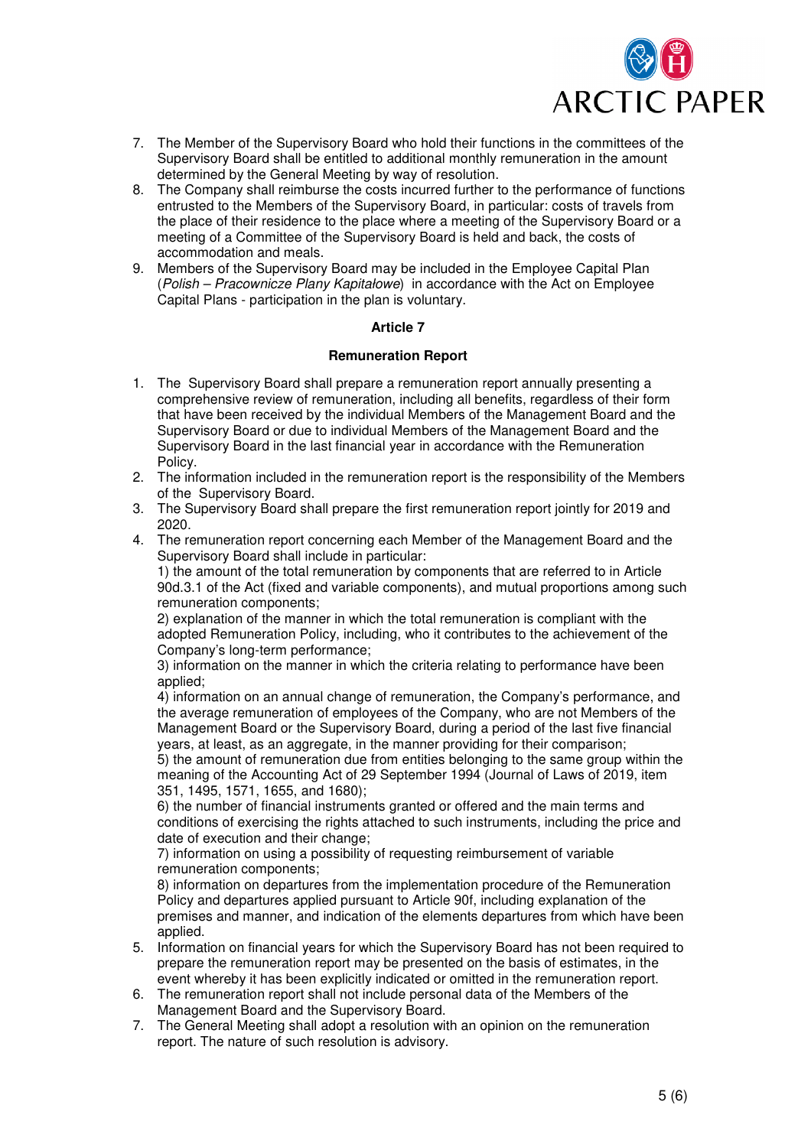

- 7. The Member of the Supervisory Board who hold their functions in the committees of the Supervisory Board shall be entitled to additional monthly remuneration in the amount determined by the General Meeting by way of resolution.
- 8. The Company shall reimburse the costs incurred further to the performance of functions entrusted to the Members of the Supervisory Board, in particular: costs of travels from the place of their residence to the place where a meeting of the Supervisory Board or a meeting of a Committee of the Supervisory Board is held and back, the costs of accommodation and meals.
- 9. Members of the Supervisory Board may be included in the Employee Capital Plan (Polish – Pracownicze Plany Kapitałowe) in accordance with the Act on Employee Capital Plans - participation in the plan is voluntary.

## **Article 7**

## **Remuneration Report**

- 1. The Supervisory Board shall prepare a remuneration report annually presenting a comprehensive review of remuneration, including all benefits, regardless of their form that have been received by the individual Members of the Management Board and the Supervisory Board or due to individual Members of the Management Board and the Supervisory Board in the last financial year in accordance with the Remuneration Policy.
- 2. The information included in the remuneration report is the responsibility of the Members of the Supervisory Board.
- 3. The Supervisory Board shall prepare the first remuneration report jointly for 2019 and 2020.
- 4. The remuneration report concerning each Member of the Management Board and the Supervisory Board shall include in particular:

1) the amount of the total remuneration by components that are referred to in Article 90d.3.1 of the Act (fixed and variable components), and mutual proportions among such remuneration components;

2) explanation of the manner in which the total remuneration is compliant with the adopted Remuneration Policy, including, who it contributes to the achievement of the Company's long-term performance;

3) information on the manner in which the criteria relating to performance have been applied;

4) information on an annual change of remuneration, the Company's performance, and the average remuneration of employees of the Company, who are not Members of the Management Board or the Supervisory Board, during a period of the last five financial years, at least, as an aggregate, in the manner providing for their comparison;

5) the amount of remuneration due from entities belonging to the same group within the meaning of the Accounting Act of 29 September 1994 (Journal of Laws of 2019, item 351, 1495, 1571, 1655, and 1680);

6) the number of financial instruments granted or offered and the main terms and conditions of exercising the rights attached to such instruments, including the price and date of execution and their change;

7) information on using a possibility of requesting reimbursement of variable remuneration components;

8) information on departures from the implementation procedure of the Remuneration Policy and departures applied pursuant to Article 90f, including explanation of the premises and manner, and indication of the elements departures from which have been applied.

- 5. Information on financial years for which the Supervisory Board has not been required to prepare the remuneration report may be presented on the basis of estimates, in the event whereby it has been explicitly indicated or omitted in the remuneration report.
- 6. The remuneration report shall not include personal data of the Members of the Management Board and the Supervisory Board.
- 7. The General Meeting shall adopt a resolution with an opinion on the remuneration report. The nature of such resolution is advisory.